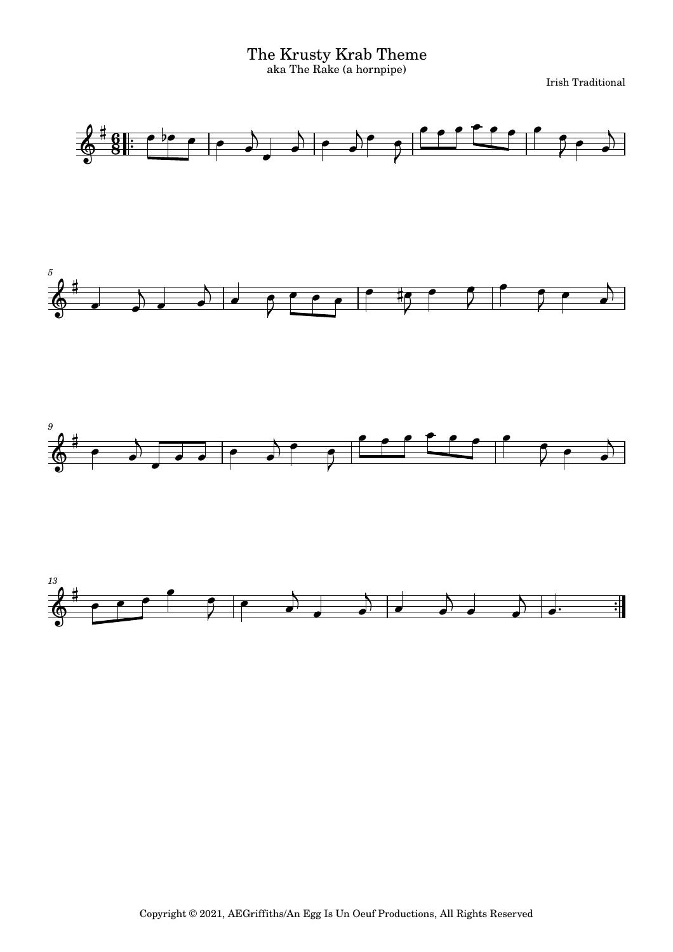The Krusty Krab Theme aka The Rake (a hornpipe)

Irish Traditional